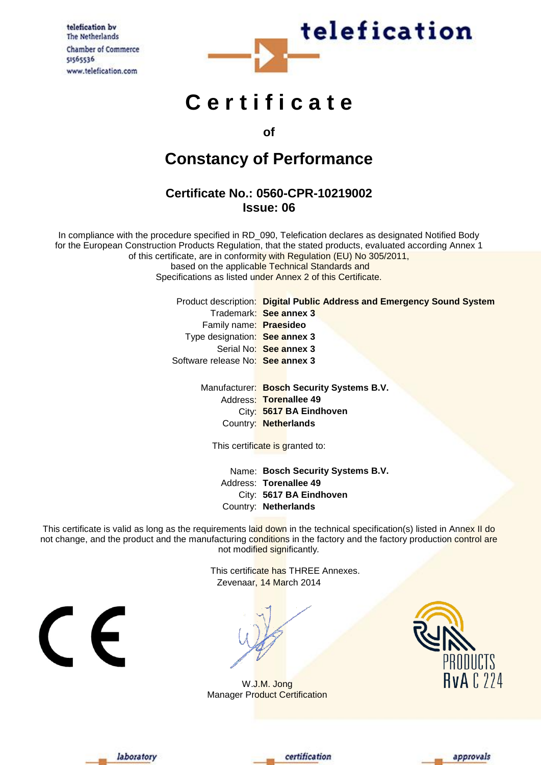telefication by The Netherlands **Chamber of Commerce** 51565536 www.telefication.com



# **C e r t i f i c a t e**

**of** 

## **Constancy of Performance**

### **Certificate No.: 0560-CPR-10219002 Issue: 06**

In compliance with the procedure specified in RD\_090, Telefication declares as designated Notified Body for the European Construction Products Regulation, that the stated products, evaluated according Annex 1 of this certificate, are in conformity with Regulation (EU) No 305/2011, based on the applicable Technical Standards and Specifications as listed under Annex 2 of this Certificate.

> Product description: **Digital Public Address and Emergency Sound System** Trademark: **See annex 3** Family name: **Praesideo** Type designation: **See annex 3** Serial No: **See annex 3** Software release No: **See annex 3**

Manufacturer: **Bosch Security Systems B.V.** Address: **Torenallee 49** City: **5617 BA Eindhoven** Country: **Netherlands**

This certificate is granted to:

Name: **Bosch Security Systems B.V.** Address: **Torenallee 49** City: **5617 BA Eindhoven** Country: **Netherlands**

This certificate is valid as long as the requirements laid down in the technical specification(s) listed in Annex II do not change, and the product and the manufacturing conditions in the factory and the factory production control are not modified significantly*.*

> This certificate has THREE Annexes. Zevenaar, 14 March 2014





W.J.M. Jong Manager Product Certification







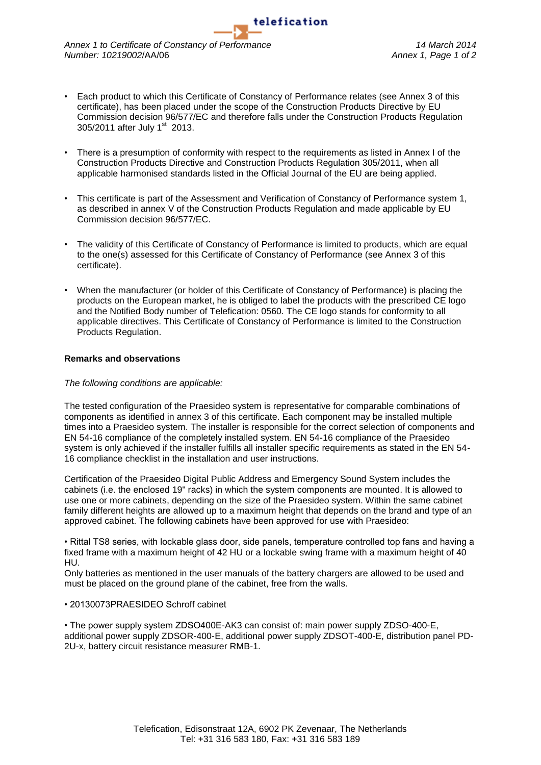*Annex 1 to Certificate of Constancy of Performance 14 March 2014 Number: 10219002*/AA/06 *Annex 1, Page 1 of 2*

• Each product to which this Certificate of Constancy of Performance relates (see Annex 3 of this certificate), has been placed under the scope of the Construction Products Directive by EU Commission decision 96/577/EC and therefore falls under the Construction Products Regulation 305/2011 after July 1<sup>st</sup> 2013.

telefication

- There is a presumption of conformity with respect to the requirements as listed in Annex I of the Construction Products Directive and Construction Products Regulation 305/2011, when all applicable harmonised standards listed in the Official Journal of the EU are being applied.
- This certificate is part of the Assessment and Verification of Constancy of Performance system 1, as described in annex V of the Construction Products Regulation and made applicable by EU Commission decision 96/577/EC.
- The validity of this Certificate of Constancy of Performance is limited to products, which are equal to the one(s) assessed for this Certificate of Constancy of Performance (see Annex 3 of this certificate).
- When the manufacturer (or holder of this Certificate of Constancy of Performance) is placing the products on the European market, he is obliged to label the products with the prescribed CE logo and the Notified Body number of Telefication: 0560. The CE logo stands for conformity to all applicable directives. This Certificate of Constancy of Performance is limited to the Construction Products Regulation.

#### **Remarks and observations**

#### *The following conditions are applicable:*

The tested configuration of the Praesideo system is representative for comparable combinations of components as identified in annex 3 of this certificate. Each component may be installed multiple times into a Praesideo system. The installer is responsible for the correct selection of components and EN 54-16 compliance of the completely installed system. EN 54-16 compliance of the Praesideo system is only achieved if the installer fulfills all installer specific requirements as stated in the EN 54- 16 compliance checklist in the installation and user instructions.

Certification of the Praesideo Digital Public Address and Emergency Sound System includes the cabinets (i.e. the enclosed 19" racks) in which the system components are mounted. It is allowed to use one or more cabinets, depending on the size of the Praesideo system. Within the same cabinet family different heights are allowed up to a maximum height that depends on the brand and type of an approved cabinet. The following cabinets have been approved for use with Praesideo:

• Rittal TS8 series, with lockable glass door, side panels, temperature controlled top fans and having a fixed frame with a maximum height of 42 HU or a lockable swing frame with a maximum height of 40 HU.

Only batteries as mentioned in the user manuals of the battery chargers are allowed to be used and must be placed on the ground plane of the cabinet, free from the walls.

#### • 20130073PRAESIDEO Schroff cabinet

• The power supply system ZDSO400E-AK3 can consist of: main power supply ZDSO-400-E, additional power supply ZDSOR-400-E, additional power supply ZDSOT-400-E, distribution panel PD-2U-x, battery circuit resistance measurer RMB-1.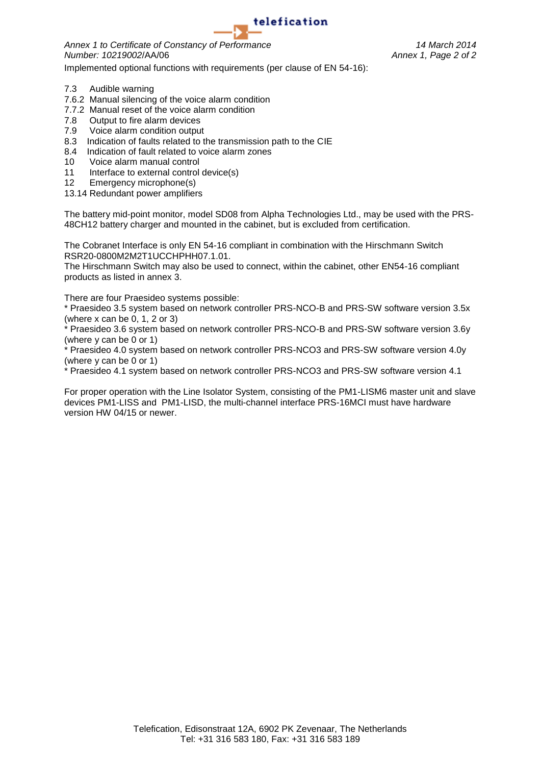

*Annex 1 to Certificate of Constancy of Performance 14 March 2014 Number: 10219002*/AA/06 *Annex 1, Page 2 of 2*

Implemented optional functions with requirements (per clause of EN 54-16):

- 7.3 Audible warning
- 7.6.2 Manual silencing of the voice alarm condition
- 7.7.2 Manual reset of the voice alarm condition
- 7.8 Output to fire alarm devices
- 7.9 Voice alarm condition output
- 8.3 Indication of faults related to the transmission path to the CIE
- 8.4 Indication of fault related to voice alarm zones
- 10 Voice alarm manual control
- 11 Interface to external control device(s)
- 12 Emergency microphone(s)
- 13.14 Redundant power amplifiers

The battery mid-point monitor, model SD08 from Alpha Technologies Ltd., may be used with the PRS-48CH12 battery charger and mounted in the cabinet, but is excluded from certification.

The Cobranet Interface is only EN 54-16 compliant in combination with the Hirschmann Switch RSR20-0800M2M2T1UCCHPHH07.1.01.

The Hirschmann Switch may also be used to connect, within the cabinet, other EN54-16 compliant products as listed in annex 3.

There are four Praesideo systems possible:

\* Praesideo 3.5 system based on network controller PRS-NCO-B and PRS-SW software version 3.5x (where x can be 0, 1, 2 or 3)

Praesideo 3.6 system based on network controller PRS-NCO-B and PRS-SW software version 3.6y (where y can be 0 or 1)

\* Praesideo 4.0 system based on network controller PRS-NCO3 and PRS-SW software version 4.0y (where y can be 0 or 1)

\* Praesideo 4.1 system based on network controller PRS-NCO3 and PRS-SW software version 4.1

For proper operation with the Line Isolator System, consisting of the PM1-LISM6 master unit and slave devices PM1-LISS and PM1-LISD, the multi-channel interface PRS-16MCI must have hardware version HW 04/15 or newer.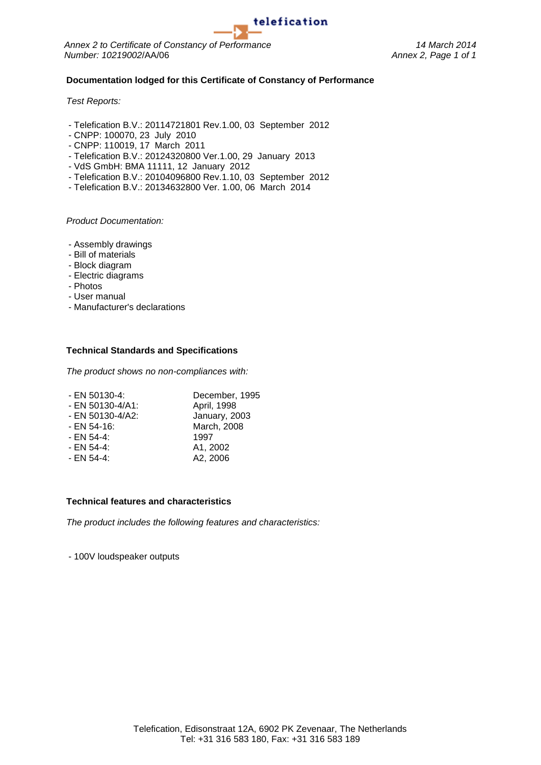*Annex 2 to Certificate of Constancy of Performance 14 March 2014 Number: 10219002*/AA/06 *Annex 2, Page 1 of 1*

#### **Documentation lodged for this Certificate of Constancy of Performance**

*Test Reports:*

- Telefication B.V.: 20114721801 Rev.1.00, 03 September 2012
- CNPP: 100070, 23 July 2010
- CNPP: 110019, 17 March 2011
- Telefication B.V.: 20124320800 Ver.1.00, 29 January 2013
- VdS GmbH: BMA 11111, 12 January 2012
- Telefication B.V.: 20104096800 Rev.1.10, 03 September 2012
- Telefication B.V.: 20134632800 Ver. 1.00, 06 March 2014

*Product Documentation:*

- Assembly drawings
- Bill of materials
- Block diagram
- Electric diagrams
- Photos
- User manual
- Manufacturer's declarations

#### **Technical Standards and Specifications**

*The product shows no non-compliances with:*

| - EN 50130-4:    | December, 1995 |
|------------------|----------------|
| - EN 50130-4/A1: | April, 1998    |
| - EN 50130-4/A2: | January, 2003  |
| - EN 54-16:      | March, 2008    |
| - EN 54-4:       | 1997           |
| - EN 54-4:       | A1, 2002       |
| - EN 54-4:       | A2, 2006       |
|                  |                |

#### **Technical features and characteristics**

*The product includes the following features and characteristics:*

- 100V loudspeaker outputs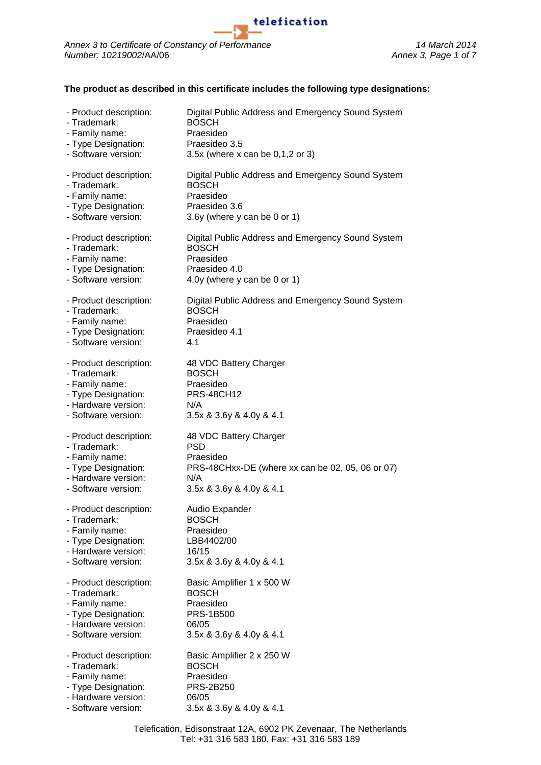

#### **The product as described in this certificate includes the following type designations:**

telefication

| - Product description: | Digital Public Address and Emergency Sound System |
|------------------------|---------------------------------------------------|
| - Trademark:           | <b>BOSCH</b>                                      |
| - Family name:         | Praesideo                                         |
| - Type Designation:    | Praesideo 3.5                                     |
| - Software version:    | 3.5x (where x can be 0,1,2 or 3)                  |
| - Product description: | Digital Public Address and Emergency Sound System |
| - Trademark:           | <b>BOSCH</b>                                      |
| - Family name:         | Praesideo                                         |
| - Type Designation:    | Praesideo 3.6                                     |
| - Software version:    | 3.6y (where y can be 0 or 1)                      |
| - Product description: | Digital Public Address and Emergency Sound System |
| - Trademark:           | <b>BOSCH</b>                                      |
| - Family name:         | Praesideo                                         |
| - Type Designation:    | Praesideo 4.0                                     |
| - Software version:    | 4.0y (where y can be 0 or 1)                      |
| - Product description: | Digital Public Address and Emergency Sound System |
| - Trademark:           | <b>BOSCH</b>                                      |
| - Family name:         | Praesideo                                         |
| - Type Designation:    | Praesideo 4.1                                     |
| - Software version:    | 4.1                                               |
| - Product description: | 48 VDC Battery Charger                            |
| - Trademark:           | <b>BOSCH</b>                                      |
| - Family name:         | Praesideo                                         |
| - Type Designation:    | <b>PRS-48CH12</b>                                 |
| - Hardware version:    | N/A                                               |
| - Software version:    | 3.5x & 3.6y & 4.0y & 4.1                          |
| - Product description: | 48 VDC Battery Charger                            |
| - Trademark:           | <b>PSD</b>                                        |
| - Family name:         | Praesideo                                         |
| - Type Designation:    | PRS-48CHxx-DE (where xx can be 02, 05, 06 or 07)  |
| - Hardware version:    | N/A                                               |
| - Software version:    | 3.5x & 3.6y & 4.0y & 4.1                          |
| - Product description: | Audio Expander                                    |
| - Trademark:           | <b>BOSCH</b>                                      |
| - Family name:         | Praesideo                                         |
| - Type Designation:    | LBB4402/00                                        |
| - Hardware version:    | 16/15                                             |
| - Software version:    | 3.5x & 3.6y & 4.0y & 4.1                          |
| - Product description: | Basic Amplifier 1 x 500 W                         |
| - Trademark:           | <b>BOSCH</b>                                      |
| - Family name:         | Praesideo                                         |
| - Type Designation:    | <b>PRS-1B500</b>                                  |
| - Hardware version:    | 06/05                                             |
| - Software version:    | 3.5x & 3.6y & 4.0y & 4.1                          |
| - Product description: | Basic Amplifier 2 x 250 W                         |
| - Trademark:           | <b>BOSCH</b>                                      |
| - Family name:         | Praesideo                                         |
| - Type Designation:    | PRS-2B250                                         |
| - Hardware version:    | 06/05                                             |
| - Software version:    | 3.5x & 3.6y & 4.0y & 4.1                          |
|                        |                                                   |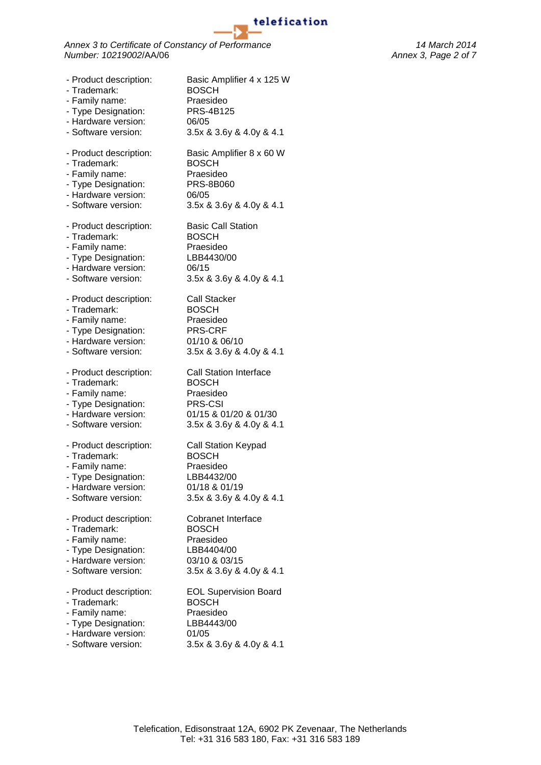*Annex 3 to Certificate of Constancy of Performance 14 March 2014 Number: 10219002*/AA/06 *Annex 3, Page 2 of 7*

- Product description: Basic Amplifier 4 x 125 W - Trademark: BOSCH - Family name: Praesideo - Type Designation: PRS-4B125 - Hardware version: 06/05 - Software version: 3.5x & 3.6y & 4.0y & 4.1 - Product description: Basic Amplifier 8 x 60 W - Trademark: BOSCH - Family name: Praesideo<br>- Type Designation: PRS-8B060 - Type Designation: - Hardware version: 06/05<br>- Software version: 3.5x 8 3.5x & 3.6y & 4.0y & 4.1 - Product description: Basic Call Station - Trademark: BOSCH - Family name: Praesideo - Type Designation: LBB4430/00 - Hardware version: 06/15 - Software version: 3.5x & 3.6y & 4.0y & 4.1 - Product description: Call Stacker - Trademark: BOSCH - Family name: Praesideo - Type Designation: PRS-CRF - Hardware version: 01/10 & 06/10 - Software version: 3.5x & 3.6y & 4.0y & 4.1 - Product description: Call Station Interface - Trademark: BOSCH - Family name: Praesideo - Type Designation: PRS-CSI - Hardware version: 01/15 & 01/20 & 01/30<br>- Software version: 3.5x & 3.6y & 4.0y & 4. 3.5x & 3.6y & 4.0y & 4.1 - Product description: Call Station Keypad - Trademark: BOSCH - Family name: Praesideo - Type Designation: LBB4432/00 - Hardware version: 01/18 & 01/19 - Software version: 3.5x & 3.6y & 4.0y & 4.1 - Product description: Cobranet Interface - Trademark: BOSCH - Family name: Praesideo - Type Designation: LBB4404/00 - Hardware version: 03/10 & 03/15 - Software version: 3.5x & 3.6y & 4.0y & 4.1 - Product description: EOL Supervision Board - Trademark: BOSCH - Family name: Praesideo - Type Designation: LBB4443/00 - Hardware version: 01/05 - Software version: 3.5x & 3.6y & 4.0y & 4.1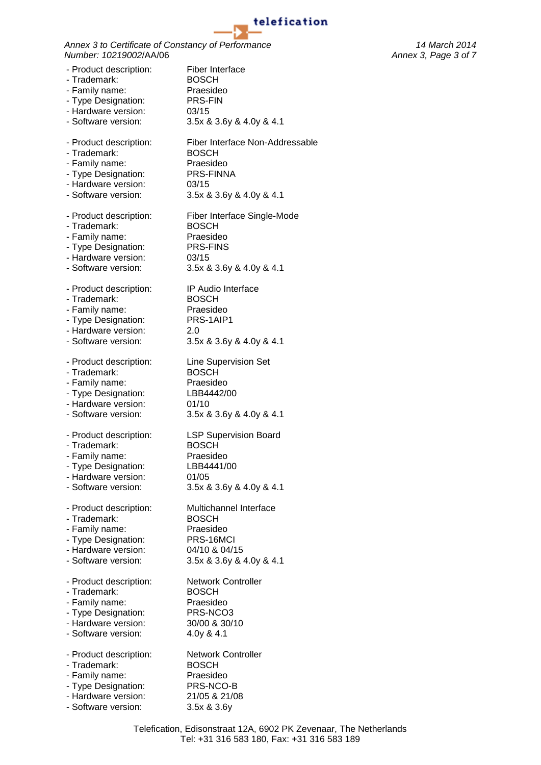*Annex 3 to Certificate of Constancy of Performance 14 March 2014 Number: 10219002*/AA/06 *Annex 3, Page 3 of 7*

- Product description: Fiber Interface - Trademark: BOSCH - Family name: Praesideo - Type Designation: PRS-FIN - Hardware version: 03/15 - Software version: 3.5x & 3.6y & 4.0y & 4.1 - Product description: Fiber Interface Non-Addressable - Trademark: BOSCH - Family name: Praesideo<br>- Type Designation: PRS-FINNA - Type Designation: - Hardware version: 03/15 - Software version: 3.5x & 3.6y & 4.0y & 4.1 - Product description: Fiber Interface Single-Mode - Trademark: BOSCH<br>- Family name: Praesideo - Family name: - Type Designation: PRS-FINS - Hardware version: 03/15 - Software version: 3.5x & 3.6y & 4.0y & 4.1 - Product description: IP Audio Interface - Trademark: BOSCH - Family name: Praesideo - Type Designation: PRS-1AIP1 - Hardware version: 2.0 - Software version: 3.5x & 3.6y & 4.0y & 4.1 - Product description: Line Supervision Set - Trademark: BOSCH - Family name: Praesideo<br>- Tvpe Designation: LBB4442/00 - Type Designation: - Hardware version: 01/10 - Software version: 3.5x & 3.6y & 4.0y & 4.1 - Product description: LSP Supervision Board - Trademark: BOSCH - Family name: Praesideo - Type Designation: LBB4441/00 - Hardware version: 01/05 - Software version: 3.5x & 3.6y & 4.0y & 4.1 - Product description: Multichannel Interface - Trademark: BOSCH - Family name: Praesideo - Type Designation: PRS-16MCI - Hardware version: 04/10 & 04/15 - Software version: 3.5x & 3.6y & 4.0y & 4.1 - Product description: Network Controller - Trademark: BOSCH - Family name: Praesideo - Type Designation: PRS-NCO3 - Hardware version: 30/00 & 30/10 - Software version: 4.0y & 4.1 - Product description: Network Controller - Trademark: BOSCH - Family name: Praesideo - Type Designation: PRS-NCO-B - Hardware version: 21/05 & 21/08 - Software version: 3.5x & 3.6y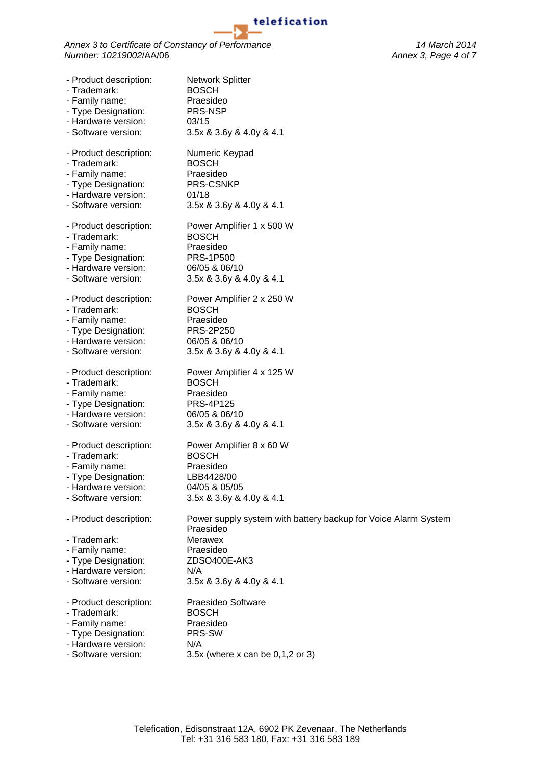ъ

*Annex 3 to Certificate of Constancy of Performance 14 March 2014 Number: 10219002*/AA/06 *Annex 3, Page 4 of 7*

| - Product description:                                                                                                        | <b>Network Splitter</b>                                                                                                                                       |
|-------------------------------------------------------------------------------------------------------------------------------|---------------------------------------------------------------------------------------------------------------------------------------------------------------|
| - Trademark:                                                                                                                  | <b>BOSCH</b>                                                                                                                                                  |
| - Family name:                                                                                                                | Praesideo                                                                                                                                                     |
| - Type Designation:                                                                                                           | PRS-NSP                                                                                                                                                       |
| - Hardware version:                                                                                                           | 03/15                                                                                                                                                         |
| - Software version:                                                                                                           | 3.5x & 3.6y & 4.0y & 4.1                                                                                                                                      |
| - Product description:                                                                                                        | Numeric Keypad                                                                                                                                                |
| - Trademark:                                                                                                                  | <b>BOSCH</b>                                                                                                                                                  |
| - Family name:                                                                                                                | Praesideo                                                                                                                                                     |
| - Type Designation:                                                                                                           | PRS-CSNKP                                                                                                                                                     |
| - Hardware version:                                                                                                           | 01/18                                                                                                                                                         |
| - Software version:                                                                                                           | 3.5x & 3.6y & 4.0y & 4.1                                                                                                                                      |
| - Product description:                                                                                                        | Power Amplifier 1 x 500 W                                                                                                                                     |
| - Trademark:                                                                                                                  | <b>BOSCH</b>                                                                                                                                                  |
| - Family name:                                                                                                                | Praesideo                                                                                                                                                     |
| - Type Designation:                                                                                                           | <b>PRS-1P500</b>                                                                                                                                              |
| - Hardware version:                                                                                                           | 06/05 & 06/10                                                                                                                                                 |
| - Software version:                                                                                                           | 3.5x & 3.6y & 4.0y & 4.1                                                                                                                                      |
| - Product description:                                                                                                        | Power Amplifier 2 x 250 W                                                                                                                                     |
| - Trademark:                                                                                                                  | <b>BOSCH</b>                                                                                                                                                  |
| - Family name:                                                                                                                | Praesideo                                                                                                                                                     |
| - Type Designation:                                                                                                           | PRS-2P250                                                                                                                                                     |
| - Hardware version:                                                                                                           | 06/05 & 06/10                                                                                                                                                 |
| - Software version:                                                                                                           | 3.5x & 3.6y & 4.0y & 4.1                                                                                                                                      |
| - Product description:                                                                                                        | Power Amplifier 4 x 125 W                                                                                                                                     |
| - Trademark:                                                                                                                  | <b>BOSCH</b>                                                                                                                                                  |
| - Family name:                                                                                                                | Praesideo                                                                                                                                                     |
| - Type Designation:                                                                                                           | <b>PRS-4P125</b>                                                                                                                                              |
| - Hardware version:                                                                                                           | 06/05 & 06/10                                                                                                                                                 |
| - Software version:                                                                                                           | 3.5x & 3.6y & 4.0y & 4.1                                                                                                                                      |
| - Product description:                                                                                                        | Power Amplifier 8 x 60 W                                                                                                                                      |
| - Trademark:                                                                                                                  | <b>BOSCH</b>                                                                                                                                                  |
| - Family name:                                                                                                                | Praesideo                                                                                                                                                     |
| - Type Designation:                                                                                                           | LBB4428/00                                                                                                                                                    |
| - Hardware version:                                                                                                           | 04/05 & 05/05                                                                                                                                                 |
| - Software version:                                                                                                           | 3.5x & 3.6y & 4.0y & 4.1                                                                                                                                      |
| - Product description:<br>- Trademark:<br>- Family name:<br>- Type Designation:<br>- Hardware version:<br>- Software version: | Power supply system with battery backup for Voice Alarm System<br>Praesideo<br><b>Merawex</b><br>Praesideo<br>ZDSO400E-AK3<br>N/A<br>3.5x & 3.6y & 4.0y & 4.1 |
| - Product description:                                                                                                        | Praesideo Software                                                                                                                                            |
| - Trademark:                                                                                                                  | <b>BOSCH</b>                                                                                                                                                  |
| - Family name:                                                                                                                | Praesideo                                                                                                                                                     |
| - Type Designation:                                                                                                           | PRS-SW                                                                                                                                                        |
| - Hardware version:                                                                                                           | N/A                                                                                                                                                           |
| - Software version:                                                                                                           | 3.5x (where x can be 0,1,2 or 3)                                                                                                                              |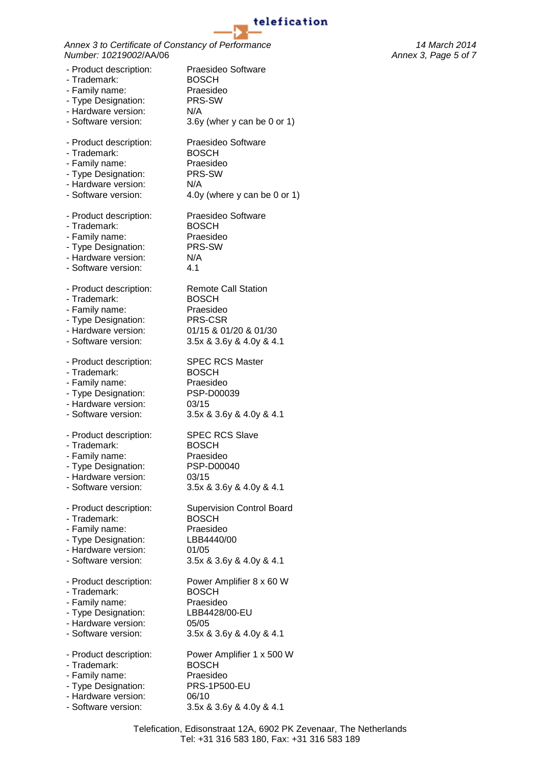*Annex 3 to Certificate of Constancy of Performance 14 March 2014 Number: 10219002*/AA/06 *Annex 3, Page 5 of 7*

- Product description: Praesideo Software - Trademark: BOSCH - Family name: Praesideo - Type Designation: PRS-SW - Hardware version: N/A - Software version: 3.6y (wher y can be 0 or 1) - Product description: Praesideo Software - Trademark: BOSCH - Family name: Praesideo<br>- Type Designation: PRS-SW - Type Designation: - Hardware version: N/A - Software version: 4.0y (where y can be 0 or 1) - Product description: Praesideo Software - Trademark: BOSCH - Family name: Praesideo - Type Designation: PRS-SW - Hardware version: N/A - Software version: 4.1 - Product description: Remote Call Station - Trademark: BOSCH - Family name: Praesideo - Type Designation: PRS-CSR - Hardware version: 01/15 & 01/20 & 01/30 - Software version: 3.5x & 3.6y & 4.0y & 4.1 - Product description: SPEC RCS Master - Trademark: BOSCH - Family name: Praesideo<br>- Type Designation: PSP-D00039 - Type Designation: - Hardware version: 03/15 - Software version: 3.5x & 3.6y & 4.0y & 4.1 - Product description: SPEC RCS Slave - Trademark: BOSCH - Family name: Praesideo - Type Designation: PSP-D00040 - Hardware version: 03/15 - Software version: 3.5x & 3.6y & 4.0y & 4.1 - Product description: Supervision Control Board - Trademark: BOSCH - Family name: Praesideo - Type Designation: LBB4440/00 - Hardware version: 01/05 - Software version: 3.5x & 3.6y & 4.0y & 4.1 - Product description: Power Amplifier 8 x 60 W - Trademark: BOSCH - Family name: Praesideo<br>- Type Designation: LBB4428/00-EU - Type Designation: - Hardware version: 05/05 - Software version: 3.5x & 3.6y & 4.0y & 4.1 - Product description: Power Amplifier 1 x 500 W - Trademark: BOSCH - Family name: Praesideo - Type Designation: PRS-1P500-EU - Hardware version: 06/10 - Software version: 3.5x & 3.6y & 4.0y & 4.1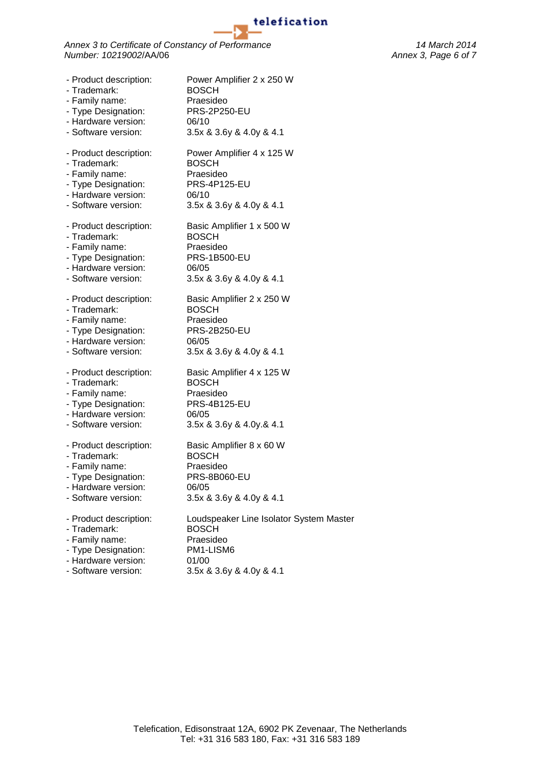*Annex 3 to Certificate of Constancy of Performance 14 March 2014 Number:* 10219002/AA/06 *Annex 3, Page 6 of 7 Annex 3, Page 6 of 7* 

- Product description: Power Amplifier 2 x 250 W - Trademark: BOSCH - Family name: Praesideo - Type Designation: PRS-2P250-EU - Hardware version: 06/10 - Software version: 3.5x & 3.6y & 4.0y & 4.1 - Product description: Power Amplifier 4 x 125 W - Trademark: BOSCH - Family name: Praesideo<br>- Type Designation: PRS-4P125-EU - Type Designation: - Hardware version: 06/10<br>- Software version: 3.5x 8 3.5x & 3.6y & 4.0y & 4.1 - Product description: Basic Amplifier 1 x 500 W - Trademark: BOSCH - Family name: Praesideo - Type Designation: PRS-1B500-EU - Hardware version: 06/05 - Software version: 3.5x & 3.6y & 4.0y & 4.1 - Product description: Basic Amplifier 2 x 250 W - Trademark: BOSCH - Family name: Praesideo - Type Designation: PRS-2B250-EU - Hardware version: 06/05 - Software version: 3.5x & 3.6y & 4.0y & 4.1 - Product description: Basic Amplifier 4 x 125 W - Trademark: BOSCH - Family name: Praesideo<br>- Type Designation: PRS-4B125-EU - Type Designation: - Hardware version: 06/05<br>- Software version: 3.5x 8 3.5x & 3.6y & 4.0y.& 4.1 - Product description: Basic Amplifier 8 x 60 W - Trademark: BOSCH - Family name: Praesideo - Type Designation: PRS-8B060-EU - Hardware version: 06/05 - Software version: 3.5x & 3.6y & 4.0y & 4.1 - Product description: Loudspeaker Line Isolator System Master - Trademark: BOSCH - Family name: Praesideo - Type Designation: PM1-LISM6 - Hardware version: 01/00

- Software version: 3.5x & 3.6y & 4.0y & 4.1